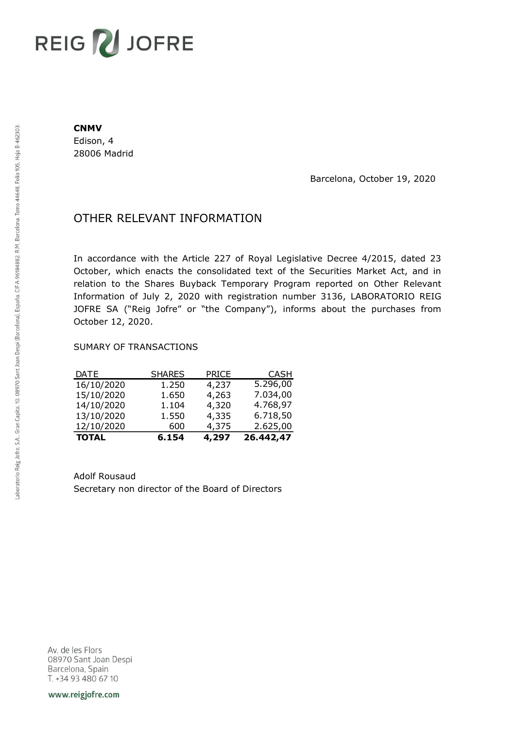## REIG V JOFRE

#### **CNMV**

Edison, 4 28006 Madrid

Barcelona, October 19, 2020

### OTHER RELEVANT INFORMATION

In accordance with the Article 227 of Royal Legislative Decree 4/2015, dated 23 October, which enacts the consolidated text of the Securities Market Act, and in relation to the Shares Buyback Temporary Program reported on Other Relevant Information of July 2, 2020 with registration number 3136, LABORATORIO REIG JOFRE SA ("Reig Jofre" or "the Company"), informs about the purchases from October 12, 2020.

#### SUMARY OF TRANSACTIONS

| <b>TOTAL</b> | 6.154         | 4,297        | 26.442,47   |
|--------------|---------------|--------------|-------------|
| 12/10/2020   | 600           | 4,375        | 2.625,00    |
| 13/10/2020   | 1.550         | 4,335        | 6.718,50    |
| 14/10/2020   | 1.104         | 4,320        | 4.768,97    |
| 15/10/2020   | 1.650         | 4,263        | 7.034,00    |
| 16/10/2020   | 1.250         | 4,237        | 5.296,00    |
| <b>DATE</b>  | <b>SHARES</b> | <b>PRICE</b> | <b>CASH</b> |

Adolf Rousaud Secretary non director of the Board of Directors

Av. de les Flors 08970 Sant Joan Despi Barcelona, Spain T. +34 93 480 67 10

www.reigjofre.com